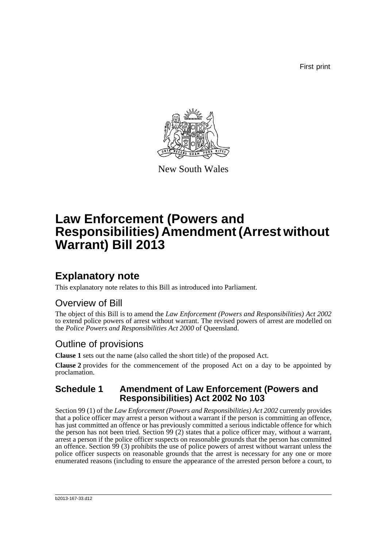First print



New South Wales

# **Law Enforcement (Powers and Responsibilities) Amendment (Arrest without Warrant) Bill 2013**

## **Explanatory note**

This explanatory note relates to this Bill as introduced into Parliament.

### Overview of Bill

The object of this Bill is to amend the *Law Enforcement (Powers and Responsibilities) Act 2002* to extend police powers of arrest without warrant. The revised powers of arrest are modelled on the *Police Powers and Responsibilities Act 2000* of Queensland.

### Outline of provisions

**Clause 1** sets out the name (also called the short title) of the proposed Act.

**Clause 2** provides for the commencement of the proposed Act on a day to be appointed by proclamation.

#### **Schedule 1 Amendment of Law Enforcement (Powers and Responsibilities) Act 2002 No 103**

Section 99 (1) of the *Law Enforcement (Powers and Responsibilities) Act 2002* currently provides that a police officer may arrest a person without a warrant if the person is committing an offence, has just committed an offence or has previously committed a serious indictable offence for which the person has not been tried. Section 99 (2) states that a police officer may, without a warrant, arrest a person if the police officer suspects on reasonable grounds that the person has committed an offence. Section 99 (3) prohibits the use of police powers of arrest without warrant unless the police officer suspects on reasonable grounds that the arrest is necessary for any one or more enumerated reasons (including to ensure the appearance of the arrested person before a court, to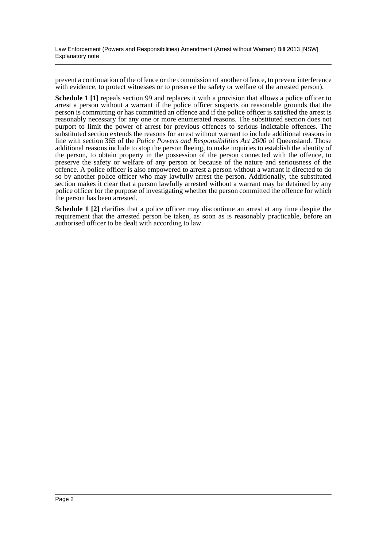Law Enforcement (Powers and Responsibilities) Amendment (Arrest without Warrant) Bill 2013 [NSW] Explanatory note

prevent a continuation of the offence or the commission of another offence, to prevent interference with evidence, to protect witnesses or to preserve the safety or welfare of the arrested person).

**Schedule 1 [1]** repeals section 99 and replaces it with a provision that allows a police officer to arrest a person without a warrant if the police officer suspects on reasonable grounds that the person is committing or has committed an offence and if the police officer is satisfied the arrest is reasonably necessary for any one or more enumerated reasons. The substituted section does not purport to limit the power of arrest for previous offences to serious indictable offences. The substituted section extends the reasons for arrest without warrant to include additional reasons in line with section 365 of the *Police Powers and Responsibilities Act 2000* of Queensland. Those additional reasons include to stop the person fleeing, to make inquiries to establish the identity of the person, to obtain property in the possession of the person connected with the offence, to preserve the safety or welfare of any person or because of the nature and seriousness of the offence. A police officer is also empowered to arrest a person without a warrant if directed to do so by another police officer who may lawfully arrest the person. Additionally, the substituted section makes it clear that a person lawfully arrested without a warrant may be detained by any police officer for the purpose of investigating whether the person committed the offence for which the person has been arrested.

**Schedule 1 [2]** clarifies that a police officer may discontinue an arrest at any time despite the requirement that the arrested person be taken, as soon as is reasonably practicable, before an authorised officer to be dealt with according to law.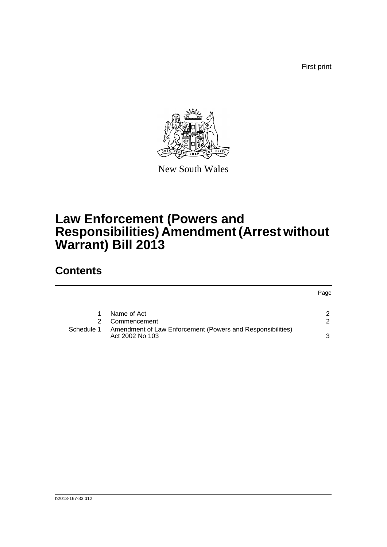First print



New South Wales

# **Law Enforcement (Powers and Responsibilities) Amendment (Arrest without Warrant) Bill 2013**

### **Contents**

|            |                                                                               | Page |
|------------|-------------------------------------------------------------------------------|------|
|            | Name of Act                                                                   |      |
|            | Commencement                                                                  | 2    |
| Schedule 1 | Amendment of Law Enforcement (Powers and Responsibilities)<br>Act 2002 No 103 | 3    |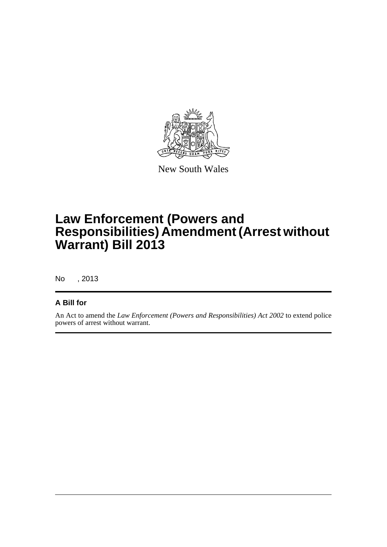

New South Wales

# **Law Enforcement (Powers and Responsibilities) Amendment (Arrest without Warrant) Bill 2013**

No , 2013

#### **A Bill for**

An Act to amend the *Law Enforcement (Powers and Responsibilities) Act 2002* to extend police powers of arrest without warrant.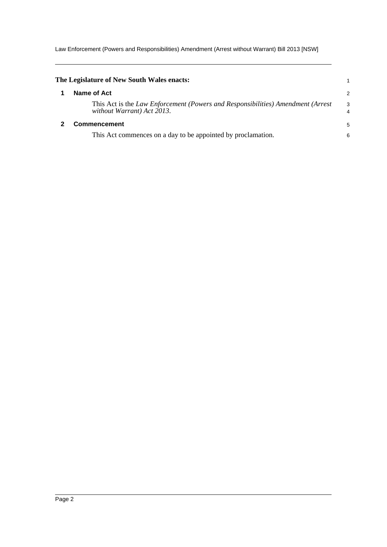Law Enforcement (Powers and Responsibilities) Amendment (Arrest without Warrant) Bill 2013 [NSW]

<span id="page-4-1"></span><span id="page-4-0"></span>

| The Legislature of New South Wales enacts:                                                                    |                     |
|---------------------------------------------------------------------------------------------------------------|---------------------|
| Name of Act                                                                                                   | $\overline{2}$      |
| This Act is the Law Enforcement (Powers and Responsibilities) Amendment (Arrest<br>without Warrant) Act 2013. | 3<br>$\overline{4}$ |
| <b>Commencement</b>                                                                                           | 5                   |
| This Act commences on a day to be appointed by proclamation.                                                  | 6                   |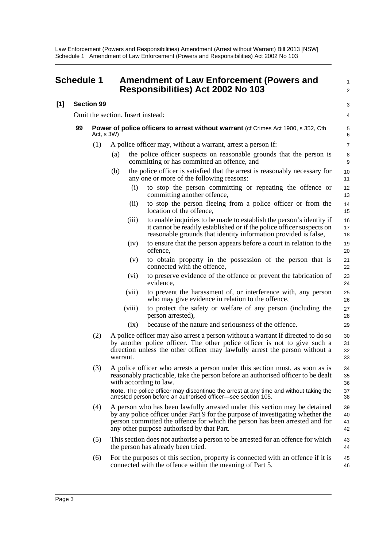<span id="page-5-0"></span>

|     | <b>Schedule 1</b> |                   |                                   | <b>Amendment of Law Enforcement (Powers and</b><br>Responsibilities) Act 2002 No 103                                                                                                                                                                                                       | 1<br>2               |
|-----|-------------------|-------------------|-----------------------------------|--------------------------------------------------------------------------------------------------------------------------------------------------------------------------------------------------------------------------------------------------------------------------------------------|----------------------|
| [1] |                   | <b>Section 99</b> |                                   |                                                                                                                                                                                                                                                                                            | 3                    |
|     |                   |                   | Omit the section. Insert instead: |                                                                                                                                                                                                                                                                                            | 4                    |
|     | 99                | Act, s 3W)        |                                   | <b>Power of police officers to arrest without warrant (cf Crimes Act 1900, s 352, Cth</b>                                                                                                                                                                                                  | $\,$ 5 $\,$<br>6     |
|     |                   | (1)               |                                   | A police officer may, without a warrant, arrest a person if:                                                                                                                                                                                                                               | $\overline{7}$       |
|     |                   |                   | (a)                               | the police officer suspects on reasonable grounds that the person is<br>committing or has committed an offence, and                                                                                                                                                                        | 8<br>9               |
|     |                   |                   | (b)                               | the police officer is satisfied that the arrest is reasonably necessary for<br>any one or more of the following reasons:                                                                                                                                                                   | 10<br>11             |
|     |                   |                   | (i)                               | to stop the person committing or repeating the offence or<br>committing another offence,                                                                                                                                                                                                   | 12<br>13             |
|     |                   |                   | (i)                               | to stop the person fleeing from a police officer or from the<br>location of the offence,                                                                                                                                                                                                   | 14<br>15             |
|     |                   |                   | (iii)                             | to enable inquiries to be made to establish the person's identity if<br>it cannot be readily established or if the police officer suspects on<br>reasonable grounds that identity information provided is false,                                                                           | 16<br>17<br>18       |
|     |                   |                   | (iv)                              | to ensure that the person appears before a court in relation to the<br>offence,                                                                                                                                                                                                            | 19<br>20             |
|     |                   |                   | (v)                               | to obtain property in the possession of the person that is<br>connected with the offence,                                                                                                                                                                                                  | 21<br>22             |
|     |                   |                   | (vi)                              | to preserve evidence of the offence or prevent the fabrication of<br>evidence,                                                                                                                                                                                                             | 23<br>24             |
|     |                   |                   | (vii)                             | to prevent the harassment of, or interference with, any person<br>who may give evidence in relation to the offence,                                                                                                                                                                        | 25<br>26             |
|     |                   |                   | (viii)                            | to protect the safety or welfare of any person (including the<br>person arrested),                                                                                                                                                                                                         | 27<br>28             |
|     |                   |                   | (ix)                              | because of the nature and seriousness of the offence.                                                                                                                                                                                                                                      | 29                   |
|     |                   | (2)               | warrant.                          | A police officer may also arrest a person without a warrant if directed to do so<br>by another police officer. The other police officer is not to give such a<br>direction unless the other officer may lawfully arrest the person without a                                               | 30<br>31<br>32<br>33 |
|     |                   | (3)               |                                   | A police officer who arrests a person under this section must, as soon as is<br>reasonably practicable, take the person before an authorised officer to be dealt<br>with according to law.<br>Note. The police officer may discontinue the arrest at any time and without taking the       | 34<br>35<br>36<br>37 |
|     |                   |                   |                                   | arrested person before an authorised officer-see section 105.                                                                                                                                                                                                                              | 38                   |
|     |                   | (4)               |                                   | A person who has been lawfully arrested under this section may be detained<br>by any police officer under Part 9 for the purpose of investigating whether the<br>person committed the offence for which the person has been arrested and for<br>any other purpose authorised by that Part. | 39<br>40<br>41<br>42 |
|     |                   | (5)               |                                   | This section does not authorise a person to be arrested for an offence for which<br>the person has already been tried.                                                                                                                                                                     | 43<br>44             |
|     |                   | (6)               |                                   | For the purposes of this section, property is connected with an offence if it is<br>connected with the offence within the meaning of Part 5.                                                                                                                                               | 45<br>46             |